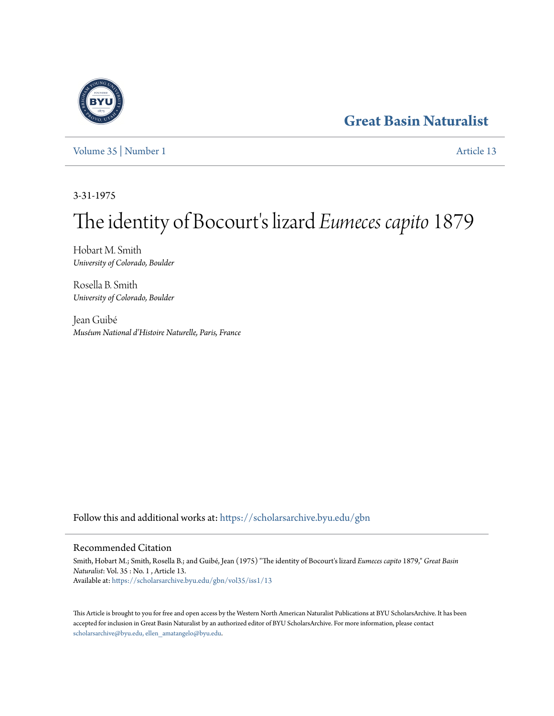## **[Great Basin Naturalist](https://scholarsarchive.byu.edu/gbn?utm_source=scholarsarchive.byu.edu%2Fgbn%2Fvol35%2Fiss1%2F13&utm_medium=PDF&utm_campaign=PDFCoverPages)**

[Volume 35](https://scholarsarchive.byu.edu/gbn/vol35?utm_source=scholarsarchive.byu.edu%2Fgbn%2Fvol35%2Fiss1%2F13&utm_medium=PDF&utm_campaign=PDFCoverPages) | [Number 1](https://scholarsarchive.byu.edu/gbn/vol35/iss1?utm_source=scholarsarchive.byu.edu%2Fgbn%2Fvol35%2Fiss1%2F13&utm_medium=PDF&utm_campaign=PDFCoverPages) [Article 13](https://scholarsarchive.byu.edu/gbn/vol35/iss1/13?utm_source=scholarsarchive.byu.edu%2Fgbn%2Fvol35%2Fiss1%2F13&utm_medium=PDF&utm_campaign=PDFCoverPages)

3-31-1975

# The identity of Bocourt's lizard *Eumeces capito* 1879

Hobart M. Smith *University of Colorado, Boulder*

Rosella B. Smith *University of Colorado, Boulder*

Jean Guibé *Muséum National d'Histoire Naturelle, Paris, France*

Follow this and additional works at: [https://scholarsarchive.byu.edu/gbn](https://scholarsarchive.byu.edu/gbn?utm_source=scholarsarchive.byu.edu%2Fgbn%2Fvol35%2Fiss1%2F13&utm_medium=PDF&utm_campaign=PDFCoverPages)

## Recommended Citation

Smith, Hobart M.; Smith, Rosella B.; and Guibé, Jean (1975) "The identity of Bocourt's lizard *Eumeces capito* 1879," *Great Basin Naturalist*: Vol. 35 : No. 1 , Article 13. Available at: [https://scholarsarchive.byu.edu/gbn/vol35/iss1/13](https://scholarsarchive.byu.edu/gbn/vol35/iss1/13?utm_source=scholarsarchive.byu.edu%2Fgbn%2Fvol35%2Fiss1%2F13&utm_medium=PDF&utm_campaign=PDFCoverPages)

This Article is brought to you for free and open access by the Western North American Naturalist Publications at BYU ScholarsArchive. It has been accepted for inclusion in Great Basin Naturalist by an authorized editor of BYU ScholarsArchive. For more information, please contact [scholarsarchive@byu.edu, ellen\\_amatangelo@byu.edu.](mailto:scholarsarchive@byu.edu,%20ellen_amatangelo@byu.edu)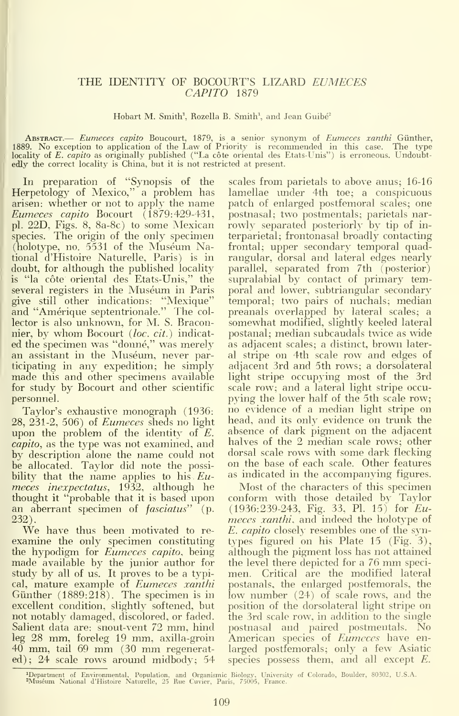### THE IDENTITY OF BOCOURT'S LIZARD EUMECES CAPITO 1879

Hobart M. Smith<sup>1</sup>, Rozella B. Smith<sup>1</sup>, and Jean Guibé<sup>2</sup>

**ABSTRACT.** *Eumeces capito* Boucourt, 1879, is a senior synonym of *Eumeces xanthi* Günther, 1889. No exception to application of the Law of Priority is recommended in this case. The type locality of *E. capito* as origin edly the correct locality is China, but it is not restricted at present.

In preparation of "Synopsis of the Herpetology of Mexico," a problem has arisen: whether or not to apply the name Eumeces capito Bocourt  $\tilde{(}1879:429-431,$ pi. 22D, Figs. 8, 8a-8c) to some Mexican species. The origin of the only specimen (holotype, no. 5531 of the Muséum National d'Histoire Naturelle, Paris) is in doubt, for although the published locality is "la côte oriental des Etats-Unis," the several registers in the Muséum in Paris give still other indications: "Mexique" and "Amerique septentrionale." The col lector is also unknown, for M. S. Braconnier, by whom Bocourt (loc. cit.) indicated the specimen was "donné," was merely an assistant in the Muséum, never participating in any expedition; he simply made this and other specimens available for study by Bocourt and other scientific personnel.

Taylor's exhaustive monograph (1936: 28, 231-2, 506) of Eumeces sheds no light upon the problem of the identity of  $E$ . capito, as the type was not examined, and by description alone the name could not be allocated. Taylor did note the possibility that the name applies to his  $Eu$ meces inexpectatus, 1932, although he thought it"probable that it is based upon an aberrant specimen of  $fasciatus"$  (p. 232).

We have thus been motivated to reexamine the only specimen constituting the hypodigm for *Eumeces capito*, being made available by the junior author for the<br>study by all of us. It proves to be a typi- me cal, mature example of Eumeces xanthi Günther  $(1889:218)$ . The specimen is in excellent condition, slightly softened, but not notably damaged, discolored, or faded. Salient data are: snout-vent 72 mm, hind leg 28 mm, foreleg 19 mm, axilla-groin <sup>40</sup> mm, tail <sup>69</sup> mm (30 mm regenerated); 24 scale rows around midbody; 54

scales from parietals to above anus; 16-16 lamellae under 4th toe; a conspicuous patch of enlarged postfemoral scales; one postnasal; two postmentals; parietals nar rowly separated posteriorly by tip of in terparietal; frontonasal broadly contacting frontal; upper secondary temporal quadrangular, dorsal and lateral edges nearly parallel, separated from 7th (posterior) supralabial by contact of primary temporal and lower, subtriangular secondary temporal; two pairs of nuchals; median preanals overlapped by lateral scales; a somewhat modified, slightly keeled lateral postanal; median subcaudals twice as wide as adjacent scales; a distinct, brown lateral stripe on 4th scale row and edges of adjacent 3rd and 5th rows; a dorsolateral light stripe occupying most of the 3rd scale row; and a lateral light stripe occupying the lower half of the 5th scale row; no evidence of a median light stripe on head, and its only evidence on trunk the absence of dark pigment on the adjacent halves of the 2 median scale rows; other dorsal scale rows with some dark flecking on the base of each scale. Other features as indicated in the accompanying figures.

Most of the characters of this specimen conform with those detailed by Taylor (1936:239-243, Fig. 33, PL 15) for Eu meces xanthi, and indeed the holotype of E. capito closely resembles one of the syntypes figured on his Plate 15 (Fig. 3), although the pigment loss has not attained the level there depicted for <sup>a</sup> <sup>76</sup> mm speci men. Critical are the modified lateral postanals, the enlarged postfemorals, the low number (24) of scale rows, and the position of the dorsolateral light stripe on the 3rd scale row, in addition to the single postnasal and paired postmentals. No American species of *Eumeces* have enlarged postfemorals; only a few Asiatic species possess them, and all except E.

<sup>^</sup>Department of En\-ironmental, Population, and Orgnnismic Biology, University of Colorado, Boulder, 80302, U.S.A. ^Museum National d'Histoire Naturelle. <sup>25</sup> Rue Cuvier. Paris. 75005, France.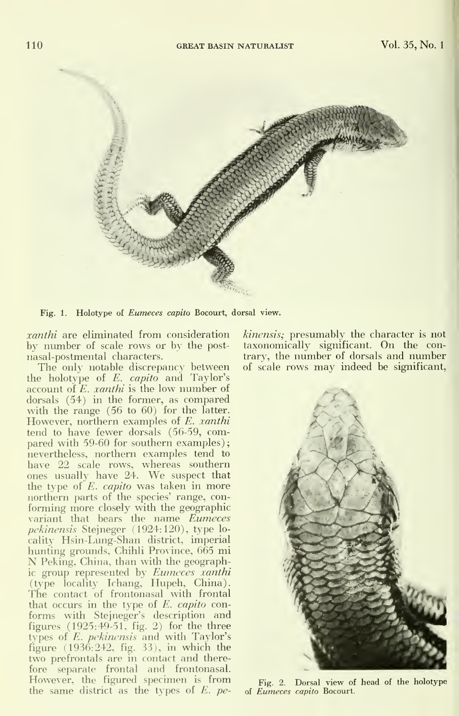

Fig. 1. Holotype of Eumeces capita Bocourt, dorsal view.

xanthi are eliminated from consideration by number of scale rows or by the post nasal-postmental characters.

The only notable discrepancy between of s<br>the holotype of E. capito and Taylor's account of E. *xanthi* is the low number of dorsals (54) in the former, as compared with the range (56 to 60) for the latter. However, northern examples of *E. xanthi* tend to have fewer dorsals (56-59, compared with 59-60 for southern examples) nevertheless, northern examples tend to have 22 scale rows, whereas southern ones usually have 24. We suspect that the type of  $E$ . *capito* was taken in more northern parts of the species' range, con forming more closely with the geographic variant that bears the name Eumeces *pekinensis* Stejneger (1924:120), type lo-<br>cality Hsin-Lung-Shan district, imperial hunting grounds, Chihli Province, 665 mi N Peking, China, than with the geographic group represented by Eumeces xanthi (type locality Ichang, Hupeh, China). The contact of frontonasal with frontal that occurs in the type of E. capito conforms with Stejneger's description and figures (1925:49-51, fig. 2) for the three types of E. pekinensis and with Taylor's figure (1936:242, fig. 33), in which the two prefrontals are in contact and therefore separate frontal and frontonasal. However, the figured specimen is from the same district as the types of  $E$ . pe-

kinensis; presumably the character is not taxonomically significant. On the contrary, the number of dorsals and number of scale rows may indeed be significant.



Fig. 2. Dorsal view of head of the holotype of Eumeces capita Bocourt.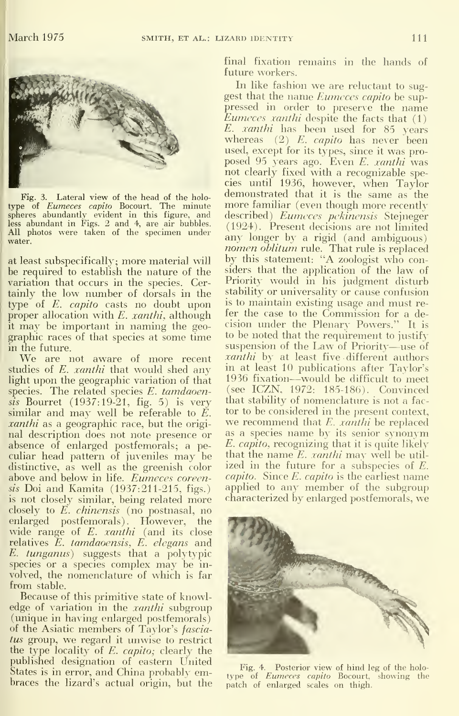

Fig. 3. Lateral view of the head of the holo type of *Eumeces capito* Bocourt. The minute mu<br>spheres abundantly evident in this figure, and des<br>less abundant in Figs. 2 and 4, are air bubbles. (1 All photos were taken of the specimen under  $\frac{(12.24)}{\text{any}}$ . Fresent decisions are not immed water.

at least subspecifically; more material will be required to establish the nature of the variation that occurs in the species. Certainly the low number of dorsals in the type of E. capito casts no doubt upon proper allocation with  $E.$  xanthi, although it may be important in naming the geo-

We are not aware of more recent studies of E. *xanthi* that would shed any light upon the geographic variation of that species. The related species E. tamdaoensis Bourret (1937:19-21, fig. 5) is very similar and may well be referable to  $\tilde{E}$ . *xanthi* as a geographic race, but the original description does not note presence or absence of enlarged postfemorals; a peculiar head pattern of juveniles may be distinctive, as well as the greenish color above and below in life. Eumeces coreensis Doi and Kamita (1937:211-215, figs.) is not closely similar, being related more closely to E. chinensis (no postnasal, no enlarged postfemorals). However, the wide range of  $E$ . *xanthi* (and its close relatives E. tamdaoensis, E. elegans and E. tunganus) suggests that a polytypic species or <sup>a</sup> species complex may be in volved, the nomenclature of which is far from stable.

Because of this primitive state of knowledge of variation in the *xanthi* subgroup (unique in having enlarged postfemorals) of the Asiatic members of Taylor's fasciatus group, we regard it unwise to restrict the type locality of E. capito; clearly the published designation of eastern United States is in error, and China probably embraces the lizard's actual origin, but the final fixation remains in the hands of future workers.

graphic races of that species at some time to be noted that the requirement to justify<br>in the future. In like fashion we are reluctant to suggest that the name Eumeces capito be suppressed in order to preserve the name Eumeces xanthi despite the facts that (1) E. xanthi has been used for 85 years whereas  $(2)$  E. *capito* has never been used, except for its types, since it was pro posed 95 years ago. Even E. xanthi was not clearly fixed with a recognizable species until 1936, however, when Taylor demonstrated that it is the same as the more familiar (even though more recently described) Eumeces pekinensis Stejneger (1924). Present decisions are not limited nomen oblitum rule. That rule is replaced by this statement: "A zoologist who considers that the application of the law of Priority would in his judgment disturb stability or universality or cause confusion is to maintain existing usage and must re fer the case to the Commission for a decision under the Plenary Powers." It is to be noted that the requirement to justify xanthi by at least five different authors in at least 10 publications after Taylor's 1936 fixation—would be difficult to meet (see ICZN, 1972: 185-186). Convinced that stability of nomenclature is not a fac tor to be considered in the present context, we recommend that E. xanthi be replaced as a species name by its senior synonym E. capita, recognizing that it is quite likely that the name  $E$ . *xanthi* may well be utilized in the future for a subspecies of E. capita. Since E. capita is the earliest name applied to any member of the subgroup characterized by enlarged postfemorals, we



Fig. 4. Posterior view of hind leg of the holo type of Eumeces capito Bocourt, showing the patch of enlarged scales on thigh.